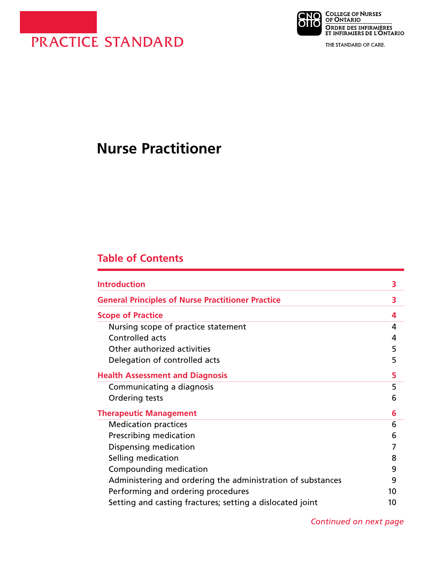

**CINO** COLLEGE OF NURSES<br>**OILO** OF ONTARIO ORDRE DES INFIRMIÈRES<br>ET INFIRMIERS DE L'ONTARIO

THE STANDARD OF CARE.

# **Nurse Practitioner**

# **Table of Contents**

| <b>Introduction</b>                                         | 3  |
|-------------------------------------------------------------|----|
| <b>General Principles of Nurse Practitioner Practice</b>    | 3  |
| <b>Scope of Practice</b>                                    | 4  |
| Nursing scope of practice statement                         | 4  |
| Controlled acts                                             | 4  |
| Other authorized activities                                 | 5  |
| Delegation of controlled acts                               | 5  |
| <b>Health Assessment and Diagnosis</b>                      | 5  |
| Communicating a diagnosis                                   | 5  |
| Ordering tests                                              | 6  |
| <b>Therapeutic Management</b>                               | 6  |
| <b>Medication practices</b>                                 | 6  |
| Prescribing medication                                      | 6  |
| Dispensing medication                                       | 7  |
| Selling medication                                          | 8  |
| Compounding medication                                      | 9  |
| Administering and ordering the administration of substances | 9  |
| Performing and ordering procedures                          | 10 |
| Setting and casting fractures; setting a dislocated joint   | 10 |

*Continued on next page*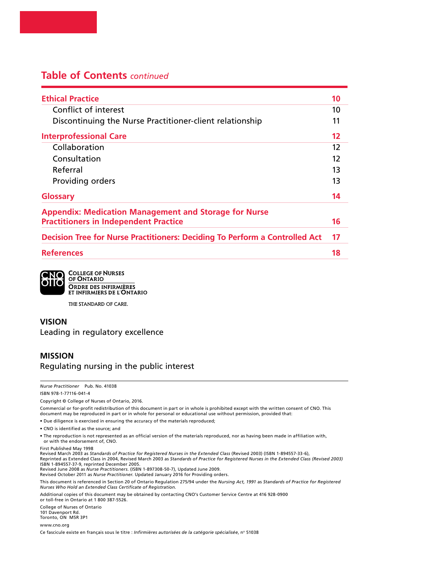# **Table of Contents** *continued*

| <b>Ethical Practice</b>                                                     | 10 |
|-----------------------------------------------------------------------------|----|
| Conflict of interest                                                        | 10 |
| Discontinuing the Nurse Practitioner-client relationship                    | 11 |
| <b>Interprofessional Care</b>                                               | 12 |
| Collaboration                                                               | 12 |
| Consultation                                                                | 12 |
| Referral                                                                    | 13 |
| Providing orders                                                            | 13 |
| Glossary                                                                    | 14 |
| <b>Appendix: Medication Management and Storage for Nurse</b>                |    |
| <b>Practitioners in Independent Practice</b>                                | 16 |
| Decision Tree for Nurse Practitioners: Deciding To Perform a Controlled Act | 17 |
| <b>References</b>                                                           | 18 |



**COLLEGE OF NURSES** OF ONTARIO **ORDRE DES INFIRMIÈRES** ET INFIRMIERS DE L'ONTARIO

THE STANDARD OF CARE.

#### **VISION**

Leading in regulatory excellence

#### **MISSION** Regulating nursing in the public interest

*Nurse Practitioner* Pub. No. 41038

#### ISBN 978-1-77116-041-4

Copyright © College of Nurses of Ontario, 2016.

Commercial or for-profit redistribution of this document in part or in whole is prohibited except with the written consent of CNO. This document may be reproduced in part or in whole for personal or educational use without permission, provided that:

• Due diligence is exercised in ensuring the accuracy of the materials reproduced;

• CNO is identified as the source; and

• The reproduction is not represented as an official version of the materials reproduced, nor as having been made in affiliation with, or with the endorsement of, CNO.

First Published May 1998

Revised March 2003 as *Standards of Practice for Registered Nurses in the Extended Class* (Revised 2003) (ISBN 1-894557-33-6), Reprinted as Extended Class in 2004, Revised March 2003 as *Standards of Practice for Registered Nurses in the Extended Class (Revised 2003)*  ISBN 1-894557-37-9, reprinted December 2005. Revised June 2008 as *Nurse Practitioners*. (ISBN 1-897308-50-7), Updated June 2009.

Revised October 2011 as *Nurse Practitioner*. Updated January 2016 for Providing orders.

This document is referenced in Section 20 of Ontario Regulation 275/94 under the *Nursing Act, 1991* as *Standards of Practice for Registered Nurses Who Hold an Extended Class Certificate of Registration*.

Additional copies of this document may be obtained by contacting CNO's Customer Service Centre at 416 928-0900 or toll-free in Ontario at 1 800 387-5526.

College of Nurses of Ontario 101 Davenport Rd. Toronto, ON M5R 3P1

www.cno.org

Ce fascicule existe en français sous le titre : *Infirmières autorisées de la catégorie spécialisée*, n° 51038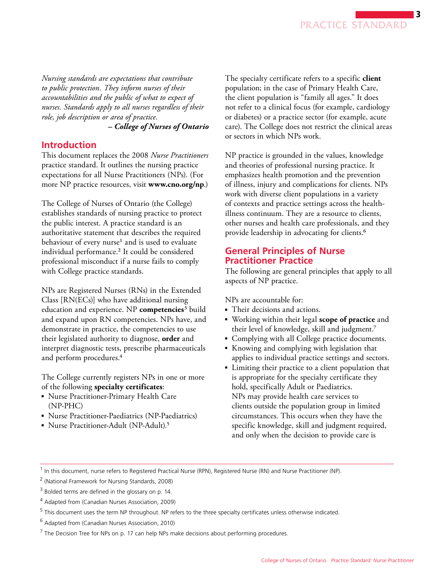

*Nursing standards are expectations that contribute to public protection. They inform nurses of their accountabilities and the public of what to expect of nurses. Standards apply to all nurses regardless of their role, job description or area of practice. – College of Nurses of Ontario*

#### **Introduction**

This document replaces the 2008 *Nurse Practitioners* practice standard. It outlines the nursing practice expectations for all Nurse Practitioners (NPs). (For more NP practice resources, visit **www.cno.org/np**.)

The College of Nurses of Ontario (the College) establishes standards of nursing practice to protect the public interest. A practice standard is an authoritative statement that describes the required behaviour of every nurse<sup>1</sup> and is used to evaluate individual performance.2 It could be considered professional misconduct if a nurse fails to comply with College practice standards.

NPs are Registered Nurses (RNs) in the Extended Class [RN(ECs)] who have additional nursing education and experience. NP **competencies**3 build and expand upon RN competencies. NPs have, and demonstrate in practice, the competencies to use their legislated authority to diagnose, **order** and interpret diagnostic tests, prescribe pharmaceuticals and perform procedures.<sup>4</sup>

The College currently registers NPs in one or more of the following **specialty certificates**:

- Nurse Practitioner-Primary Health Care (NP-PHC)
- Nurse Practitioner-Paediatrics (NP-Paediatrics)
- Nurse Practitioner-Adult (NP-Adult).5

The specialty certificate refers to a specific **client** population; in the case of Primary Health Care, the client population is "family all ages." It does not refer to a clinical focus (for example, cardiology or diabetes) or a practice sector (for example, acute care). The College does not restrict the clinical areas or sectors in which NPs work.

NP practice is grounded in the values, knowledge and theories of professional nursing practice. It emphasizes health promotion and the prevention of illness, injury and complications for clients. NPs work with diverse client populations in a variety of contexts and practice settings across the healthillness continuum. They are a resource to clients, other nurses and health care professionals, and they provide leadership in advocating for clients.<sup>6</sup>

## **General Principles of Nurse Practitioner Practice**

The following are general principles that apply to all aspects of NP practice.

NPs are accountable for:

- Their decisions and actions.
- Working within their legal **scope of practice** and their level of knowledge, skill and judgment.7
- Complying with all College practice documents.
- Knowing and complying with legislation that applies to individual practice settings and sectors.
- Limiting their practice to a client population that is appropriate for the specialty certificate they hold, specifically Adult or Paediatrics. NPs may provide health care services to clients outside the population group in limited circumstances. This occurs when they have the specific knowledge, skill and judgment required, and only when the decision to provide care is

<sup>&</sup>lt;sup>1</sup> In this document, nurse refers to Registered Practical Nurse (RPN), Registered Nurse (RN) and Nurse Practitioner (NP).

<sup>&</sup>lt;sup>2</sup> (National Framework for Nursing Standards, 2008)

 $3$  Bolded terms are defined in the glossary on p. 14.

<sup>4</sup> Adapted from (Canadian Nurses Association, 2009)

<sup>&</sup>lt;sup>5</sup> This document uses the term NP throughout. NP refers to the three specialty certificates unless otherwise indicated.

<sup>&</sup>lt;sup>6</sup> Adapted from (Canadian Nurses Association, 2010)

 $<sup>7</sup>$  The Decision Tree for NPs on p. 17 can help NPs make decisions about performing procedures.</sup>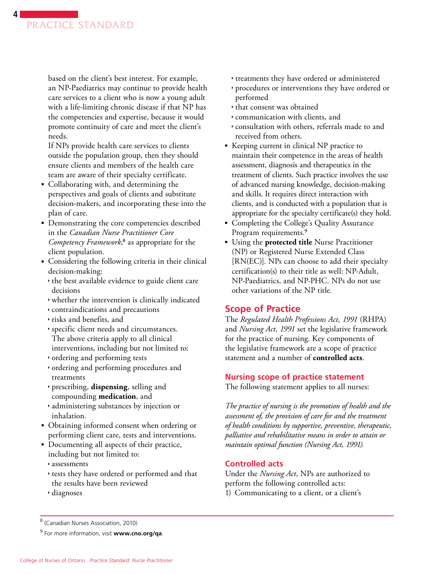based on the client's best interest. For example, an NP-Paediatrics may continue to provide health care services to a client who is now a young adult with a life-limiting chronic disease if that NP has the competencies and expertise, because it would promote continuity of care and meet the client's needs.

If NPs provide health care services to clients outside the population group, then they should ensure clients and members of the health care team are aware of their specialty certificate.

- Collaborating with, and determining the perspectives and goals of clients and substitute decision-makers, and incorporating these into the plan of care.
- Demonstrating the core competencies described in the *Canadian Nurse Practitioner Core Competency Framework*,8 as appropriate for the client population.
- Considering the following criteria in their clinical decision-making:
	- ◗ the best available evidence to guide client care decisions
	- ◗ whether the intervention is clinically indicated
	- ◗ contraindications and precautions
	- ◗ risks and benefits, and
	- ◗ specific client needs and circumstances. The above criteria apply to all clinical interventions, including but not limited to:
	- ◗ ordering and performing tests
	- ◗ ordering and performing procedures and treatments
	- ◗ prescribing, **dispensing**, selling and compounding **medication**, and
	- ◗ administering substances by injection or inhalation.
- Obtaining informed consent when ordering or performing client care, tests and interventions.
- Documenting all aspects of their practice, including but not limited to:
	- ◗ assessments
	- ◗ tests they have ordered or performed and that the results have been reviewed
	- ◗ diagnoses
- ◗ procedures or interventions they have ordered or performed
- ◗ that consent was obtained
- ◗ communication with clients, and
- ◗ consultation with others, referrals made to and received from others.
- Keeping current in clinical NP practice to maintain their competence in the areas of health assessment, diagnosis and therapeutics in the treatment of clients. Such practice involves the use of advanced nursing knowledge, decision-making and skills. It requires direct interaction with clients, and is conducted with a population that is appropriate for the specialty certificate(s) they hold.
- Completing the College's Quality Assurance Program requirements.<sup>9</sup>
- Using the **protected title** Nurse Practitioner (NP) or Registered Nurse Extended Class [RN(EC)]. NPs can choose to add their specialty certification(s) to their title as well: NP-Adult, NP-Paediatrics, and NP-PHC. NPs do not use other variations of the NP title.

# **Scope of Practice**

The *Regulated Health Professions Act, 1991* (RHPA) and *Nursing Act, 1991* set the legislative framework for the practice of nursing. Key components of the legislative framework are a scope of practice statement and a number of **controlled acts**.

#### **Nursing scope of practice statement**

The following statement applies to all nurses:

*The practice of nursing is the promotion of health and the assessment of, the provision of care for and the treatment of health conditions by supportive, preventive, therapeutic, palliative and rehabilitative means in order to attain or maintain optimal function (Nursing Act, 1991).* 

## **Controlled acts**

Under the *Nursing Act*, NPs are authorized to perform the following controlled acts: 1) Communicating to a client, or a client's

<sup>◗</sup> treatments they have ordered or administered

<sup>&</sup>lt;sup>8</sup> (Canadian Nurses Association, 2010)

<sup>9</sup> For more information, visit **www.cno.org/qa**.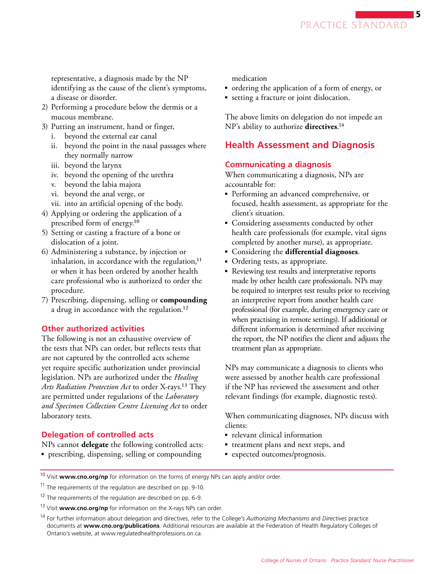

representative, a diagnosis made by the NP identifying as the cause of the client's symptoms, a disease or disorder.

- 2) Performing a procedure below the dermis or a mucous membrane.
- 3) Putting an instrument, hand or finger,
	- i. beyond the external ear canal
	- ii. beyond the point in the nasal passages where they normally narrow
	- iii. beyond the larynx
	- iv. beyond the opening of the urethra
	- v. beyond the labia majora
	- vi. beyond the anal verge, or
	- vii. into an artificial opening of the body.
- 4) Applying or ordering the application of a prescribed form of energy.10
- 5) Setting or casting a fracture of a bone or dislocation of a joint.
- 6) Administering a substance, by injection or inhalation, in accordance with the regulation, $11$ or when it has been ordered by another health care professional who is authorized to order the procedure.
- 7) Prescribing, dispensing, selling or **compounding** a drug in accordance with the regulation.<sup>12</sup>

#### **Other authorized activities**

The following is not an exhaustive overview of the tests that NPs can order, but reflects tests that are not captured by the controlled acts scheme yet require specific authorization under provincial legislation. NPs are authorized under the *Healing Arts Radiation Protection Act* to order X-rays.13 They are permitted under regulations of the *Laboratory and Specimen Collection Centre Licensing Act* to order laboratory tests.

#### **Delegation of controlled acts**

NPs cannot **delegate** the following controlled acts: ■ prescribing, dispensing, selling or compounding

medication

- ordering the application of a form of energy, or
- setting a fracture or joint dislocation.

The above limits on delegation do not impede an NP's ability to authorize **directives**.14

## **Health Assessment and Diagnosis**

#### **Communicating a diagnosis**

When communicating a diagnosis, NPs are accountable for:

- Performing an advanced comprehensive, or focused, health assessment, as appropriate for the client's situation.
- Considering assessments conducted by other health care professionals (for example, vital signs completed by another nurse), as appropriate.
- Considering the **differential diagnoses**.
- Ordering tests, as appropriate.
- Reviewing test results and interpretative reports made by other health care professionals. NPs may be required to interpret test results prior to receiving an interpretive report from another health care professional (for example, during emergency care or when practising in remote settings). If additional or different information is determined after receiving the report, the NP notifies the client and adjusts the treatment plan as appropriate.

NPs may communicate a diagnosis to clients who were assessed by another health care professional if the NP has reviewed the assessment and other relevant findings (for example, diagnostic tests).

When communicating diagnoses, NPs discuss with clients:

- relevant clinical information
- treatment plans and next steps, and
- expected outcomes/prognosis.

13 Visit **www.cno.org/np** for information on the X-rays NPs can order.

<sup>10</sup> Visit **www.cno.org/np** for information on the forms of energy NPs can apply and/or order.

 $11$  The requirements of the regulation are described on pp. 9-10.

 $12$  The requirements of the regulation are described on pp. 6-9.

<sup>14</sup> For further information about delegation and directives, refer to the College's *Authorizing Mechanisms* and *Directives* practice documents at **www.cno.org/publications**. Additional resources are available at the Federation of Health Regulatory Colleges of Ontario's website, at www.regulatedhealthprofessions.on.ca.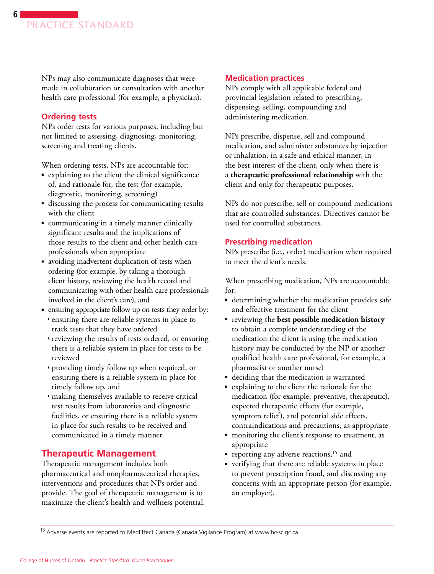

NPs may also communicate diagnoses that were made in collaboration or consultation with another health care professional (for example, a physician).

#### **Ordering tests**

NPs order tests for various purposes, including but not limited to assessing, diagnosing, monitoring, screening and treating clients.

When ordering tests, NPs are accountable for:

- explaining to the client the clinical significance of, and rationale for, the test (for example, diagnostic, monitoring, screening)
- discussing the process for communicating results with the client
- communicating in a timely manner clinically significant results and the implications of those results to the client and other health care professionals when appropriate
- avoiding inadvertent duplication of tests when ordering (for example, by taking a thorough client history, reviewing the health record and communicating with other health care professionals involved in the client's care), and
- ensuring appropriate follow up on tests they order by:
- ◗ ensuring there are reliable systems in place to track tests that they have ordered
- ◗ reviewing the results of tests ordered, or ensuring there is a reliable system in place for tests to be reviewed
- ◗ providing timely follow up when required, or ensuring there is a reliable system in place for timely follow up, and
- ◗ making themselves available to receive critical test results from laboratories and diagnostic facilities, or ensuring there is a reliable system in place for such results to be received and communicated in a timely manner.

## **Therapeutic Management**

Therapeutic management includes both pharmaceutical and nonpharmaceutical therapies, interventions and procedures that NPs order and provide. The goal of therapeutic management is to maximize the client's health and wellness potential.

#### **Medication practices**

NPs comply with all applicable federal and provincial legislation related to prescribing, dispensing, selling, compounding and administering medication.

NPs prescribe, dispense, sell and compound medication, and administer substances by injection or inhalation, in a safe and ethical manner, in the best interest of the client, only when there is a **therapeutic professional relationship** with the client and only for therapeutic purposes.

NPs do not prescribe, sell or compound medications that are controlled substances. Directives cannot be used for controlled substances.

#### **Prescribing medication**

NPs prescribe (i.e., order) medication when required to meet the client's needs.

When prescribing medication, NPs are accountable for:

- determining whether the medication provides safe and effective treatment for the client
- reviewing the **best possible medication history**  to obtain a complete understanding of the medication the client is using (the medication history may be conducted by the NP or another qualified health care professional, for example, a pharmacist or another nurse)
- deciding that the medication is warranted
- explaining to the client the rationale for the medication (for example, preventive, therapeutic), expected therapeutic effects (for example, symptom relief), and potential side effects, contraindications and precautions, as appropriate
- monitoring the client's response to treatment, as appropriate
- reporting any adverse reactions,<sup>15</sup> and
- verifying that there are reliable systems in place to prevent prescription fraud, and discussing any concerns with an appropriate person (for example, an employer).

<sup>&</sup>lt;sup>15</sup> Adverse events are reported to MedEffect Canada (Canada Vigilance Program) at www.hc-sc.gc.ca.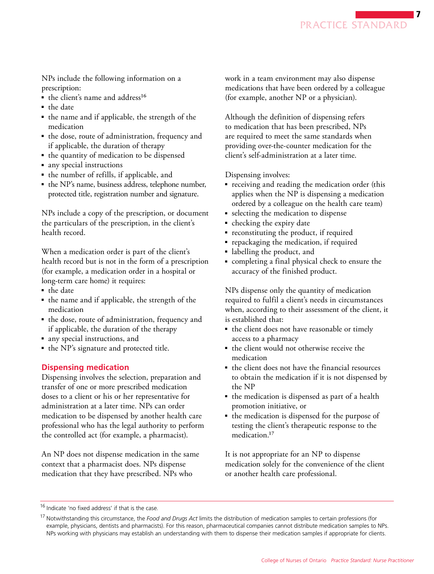7

NPs include the following information on a prescription:

- $\blacksquare$  the client's name and address<sup>16</sup>
- the date
- the name and if applicable, the strength of the medication
- the dose, route of administration, frequency and if applicable, the duration of therapy
- the quantity of medication to be dispensed
- any special instructions
- the number of refills, if applicable, and
- the NP's name, business address, telephone number, protected title, registration number and signature.

NPs include a copy of the prescription, or document the particulars of the prescription, in the client's health record.

When a medication order is part of the client's health record but is not in the form of a prescription (for example, a medication order in a hospital or long-term care home) it requires:

- the date
- the name and if applicable, the strength of the medication
- the dose, route of administration, frequency and if applicable, the duration of the therapy
- any special instructions, and
- the NP's signature and protected title.

## **Dispensing medication**

Dispensing involves the selection, preparation and transfer of one or more prescribed medication doses to a client or his or her representative for administration at a later time. NPs can order medication to be dispensed by another health care professional who has the legal authority to perform the controlled act (for example, a pharmacist).

An NP does not dispense medication in the same context that a pharmacist does. NPs dispense medication that they have prescribed. NPs who

work in a team environment may also dispense medications that have been ordered by a colleague (for example, another NP or a physician).

Although the definition of dispensing refers to medication that has been prescribed, NPs are required to meet the same standards when providing over-the-counter medication for the client's self-administration at a later time.

#### Dispensing involves:

- receiving and reading the medication order (this applies when the NP is dispensing a medication ordered by a colleague on the health care team)
- selecting the medication to dispense
- checking the expiry date
- reconstituting the product, if required
- repackaging the medication, if required
- labelling the product, and
- completing a final physical check to ensure the accuracy of the finished product.

NPs dispense only the quantity of medication required to fulfil a client's needs in circumstances when, according to their assessment of the client, it is established that:

- the client does not have reasonable or timely access to a pharmacy
- the client would not otherwise receive the medication
- the client does not have the financial resources to obtain the medication if it is not dispensed by the NP
- the medication is dispensed as part of a health promotion initiative, or
- the medication is dispensed for the purpose of testing the client's therapeutic response to the medication.17

It is not appropriate for an NP to dispense medication solely for the convenience of the client or another health care professional.

<sup>&</sup>lt;sup>16</sup> Indicate 'no fixed address' if that is the case.

<sup>17</sup> Notwithstanding this circumstance, the *Food and Drugs Act* limits the distribution of medication samples to certain professions (for example, physicians, dentists and pharmacists). For this reason, pharmaceutical companies cannot distribute medication samples to NPs. NPs working with physicians may establish an understanding with them to dispense their medication samples if appropriate for clients.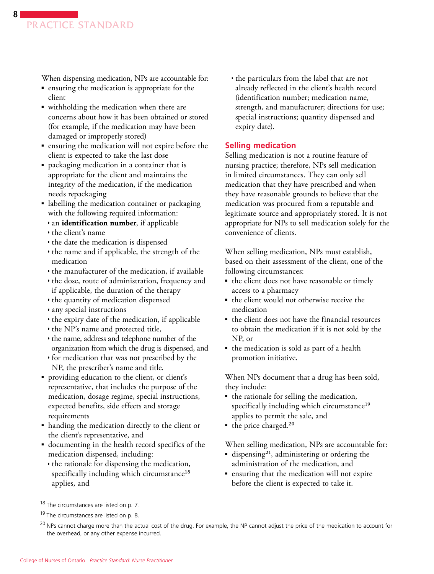When dispensing medication, NPs are accountable for:

- ensuring the medication is appropriate for the client
- withholding the medication when there are concerns about how it has been obtained or stored (for example, if the medication may have been damaged or improperly stored)
- ensuring the medication will not expire before the client is expected to take the last dose
- packaging medication in a container that is appropriate for the client and maintains the integrity of the medication, if the medication needs repackaging
- labelling the medication container or packaging with the following required information:
	- ◗ an **identification number**, if applicable
	- ◗ the client's name
	- ◗ the date the medication is dispensed
	- ◗ the name and if applicable, the strength of the medication
	- ◗ the manufacturer of the medication, if available
	- ◗ the dose, route of administration, frequency and if applicable, the duration of the therapy
	- ◗ the quantity of medication dispensed
	- ◗ any special instructions
	- ◗ the expiry date of the medication, if applicable
	- ◗ the NP's name and protected title,
	- ◗ the name, address and telephone number of the organization from which the drug is dispensed, and
	- ◗ for medication that was not prescribed by the NP, the prescriber's name and title.
- providing education to the client, or client's representative, that includes the purpose of the medication, dosage regime, special instructions, expected benefits, side effects and storage requirements
- handing the medication directly to the client or the client's representative, and
- documenting in the health record specifics of the medication dispensed, including:
	- ◗ the rationale for dispensing the medication, specifically including which circumstance<sup>18</sup> applies, and

◗ the particulars from the label that are not already reflected in the client's health record (identification number; medication name, strength, and manufacturer; directions for use; special instructions; quantity dispensed and expiry date).

#### **Selling medication**

Selling medication is not a routine feature of nursing practice; therefore, NPs sell medication in limited circumstances. They can only sell medication that they have prescribed and when they have reasonable grounds to believe that the medication was procured from a reputable and legitimate source and appropriately stored. It is not appropriate for NPs to sell medication solely for the convenience of clients.

When selling medication, NPs must establish, based on their assessment of the client, one of the following circumstances:

- the client does not have reasonable or timely access to a pharmacy
- the client would not otherwise receive the medication
- the client does not have the financial resources to obtain the medication if it is not sold by the NP, or
- the medication is sold as part of a health promotion initiative.

When NPs document that a drug has been sold, they include:

- the rationale for selling the medication, specifically including which circumstance<sup>19</sup> applies to permit the sale, and
- the price charged.<sup>20</sup>

When selling medication, NPs are accountable for:

- dispensing<sup>21</sup>, administering or ordering the administration of the medication, and
- ensuring that the medication will not expire before the client is expected to take it.

<sup>&</sup>lt;sup>18</sup> The circumstances are listed on p. 7.

<sup>&</sup>lt;sup>19</sup> The circumstances are listed on p. 8.

<sup>&</sup>lt;sup>20</sup> NPs cannot charge more than the actual cost of the drug. For example, the NP cannot adjust the price of the medication to account for the overhead, or any other expense incurred.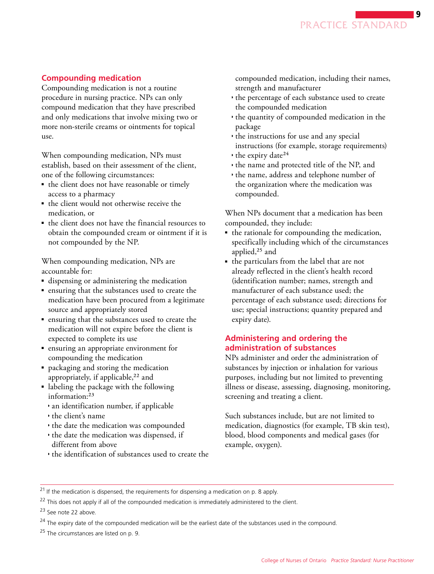9

#### **Compounding medication**

Compounding medication is not a routine procedure in nursing practice. NPs can only compound medication that they have prescribed and only medications that involve mixing two or more non-sterile creams or ointments for topical use.

When compounding medication, NPs must establish, based on their assessment of the client, one of the following circumstances:

- the client does not have reasonable or timely access to a pharmacy
- the client would not otherwise receive the medication, or
- the client does not have the financial resources to obtain the compounded cream or ointment if it is not compounded by the NP.

When compounding medication, NPs are accountable for:

- dispensing or administering the medication
- ensuring that the substances used to create the medication have been procured from a legitimate source and appropriately stored
- ensuring that the substances used to create the medication will not expire before the client is expected to complete its use
- ensuring an appropriate environment for compounding the medication
- packaging and storing the medication appropriately, if applicable,<sup>22</sup> and
- labeling the package with the following information:23
	- ◗ an identification number, if applicable
	- ◗ the client's name
	- ◗ the date the medication was compounded
	- ◗ the date the medication was dispensed, if different from above
	- ◗ the identification of substances used to create the

compounded medication, including their names, strength and manufacturer

- ◗ the percentage of each substance used to create the compounded medication
- ◗ the quantity of compounded medication in the package
- ◗ the instructions for use and any special
- instructions (for example, storage requirements) ◗ the expiry date24
- ◗ the name and protected title of the NP, and
- ◗ the name, address and telephone number of the organization where the medication was compounded.

When NPs document that a medication has been compounded, they include:

- the rationale for compounding the medication, specifically including which of the circumstances applied,25 and
- the particulars from the label that are not already reflected in the client's health record (identification number; names, strength and manufacturer of each substance used; the percentage of each substance used; directions for use; special instructions; quantity prepared and expiry date).

## **Administering and ordering the administration of substances**

NPs administer and order the administration of substances by injection or inhalation for various purposes, including but not limited to preventing illness or disease, assessing, diagnosing, monitoring, screening and treating a client.

Such substances include, but are not limited to medication, diagnostics (for example, TB skin test), blood, blood components and medical gases (for example, oxygen).

 $21$  If the medication is dispensed, the requirements for dispensing a medication on p. 8 apply.

<sup>&</sup>lt;sup>22</sup> This does not apply if all of the compounded medication is immediately administered to the client.

<sup>23</sup> See note 22 above.

<sup>&</sup>lt;sup>24</sup> The expiry date of the compounded medication will be the earliest date of the substances used in the compound.

<sup>&</sup>lt;sup>25</sup> The circumstances are listed on p. 9.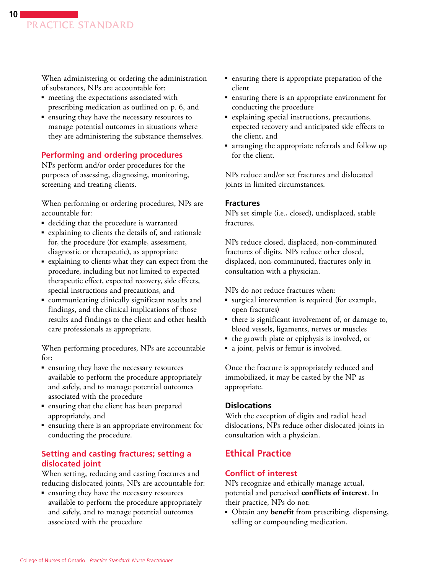When administering or ordering the administration of substances, NPs are accountable for:

- meeting the expectations associated with prescribing medication as outlined on p. 6, and
- ensuring they have the necessary resources to manage potential outcomes in situations where they are administering the substance themselves.

## **Performing and ordering procedures**

NPs perform and/or order procedures for the purposes of assessing, diagnosing, monitoring, screening and treating clients.

When performing or ordering procedures, NPs are accountable for:

- deciding that the procedure is warranted
- explaining to clients the details of, and rationale for, the procedure (for example, assessment, diagnostic or therapeutic), as appropriate
- explaining to clients what they can expect from the procedure, including but not limited to expected therapeutic effect, expected recovery, side effects, special instructions and precautions, and
- communicating clinically significant results and findings, and the clinical implications of those results and findings to the client and other health care professionals as appropriate.

When performing procedures, NPs are accountable for:

- ensuring they have the necessary resources available to perform the procedure appropriately and safely, and to manage potential outcomes associated with the procedure
- ensuring that the client has been prepared appropriately, and
- ensuring there is an appropriate environment for conducting the procedure.

#### **Setting and casting fractures; setting a dislocated joint**

When setting, reducing and casting fractures and reducing dislocated joints, NPs are accountable for:

■ ensuring they have the necessary resources available to perform the procedure appropriately and safely, and to manage potential outcomes associated with the procedure

- ensuring there is appropriate preparation of the client
- ensuring there is an appropriate environment for conducting the procedure
- explaining special instructions, precautions, expected recovery and anticipated side effects to the client, and
- arranging the appropriate referrals and follow up for the client.

NPs reduce and/or set fractures and dislocated joints in limited circumstances.

#### **Fractures**

NPs set simple (i.e., closed), undisplaced, stable fractures.

NPs reduce closed, displaced, non-comminuted fractures of digits. NPs reduce other closed, displaced, non-comminuted, fractures only in consultation with a physician.

NPs do not reduce fractures when:

- surgical intervention is required (for example, open fractures)
- there is significant involvement of, or damage to, blood vessels, ligaments, nerves or muscles
- the growth plate or epiphysis is involved, or
- a joint, pelvis or femur is involved.

Once the fracture is appropriately reduced and immobilized, it may be casted by the NP as appropriate.

## **Dislocations**

With the exception of digits and radial head dislocations, NPs reduce other dislocated joints in consultation with a physician.

# **Ethical Practice**

## **Conflict of interest**

NPs recognize and ethically manage actual, potential and perceived **conflicts of interest**. In their practice, NPs do not:

■ Obtain any **benefit** from prescribing, dispensing, selling or compounding medication.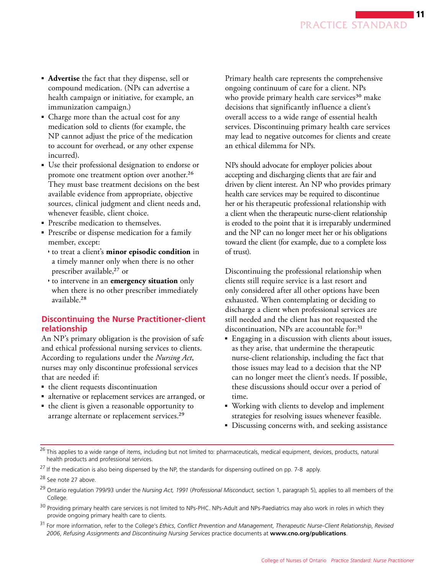- **Advertise** the fact that they dispense, sell or compound medication. (NPs can advertise a health campaign or initiative, for example, an immunization campaign.)
- Charge more than the actual cost for any medication sold to clients (for example, the NP cannot adjust the price of the medication to account for overhead, or any other expense incurred).
- Use their professional designation to endorse or promote one treatment option over another.26 They must base treatment decisions on the best available evidence from appropriate, objective sources, clinical judgment and client needs and, whenever feasible, client choice.
- Prescribe medication to themselves.
- Prescribe or dispense medication for a family member, except:
	- ◗ to treat a client's **minor episodic condition** in a timely manner only when there is no other prescriber available,27 or
	- ◗ to intervene in an **emergency situation** only when there is no other prescriber immediately available.28

#### **Discontinuing the Nurse Practitioner-client relationship**

An NP's primary obligation is the provision of safe and ethical professional nursing services to clients. According to regulations under the *Nursing Act*, nurses may only discontinue professional services that are needed if:

- the client requests discontinuation
- alternative or replacement services are arranged, or
- the client is given a reasonable opportunity to arrange alternate or replacement services.<sup>29</sup>

Primary health care represents the comprehensive ongoing continuum of care for a client. NPs who provide primary health care services<sup>30</sup> make decisions that significantly influence a client's overall access to a wide range of essential health services. Discontinuing primary health care services may lead to negative outcomes for clients and create an ethical dilemma for NPs.

NPs should advocate for employer policies about accepting and discharging clients that are fair and driven by client interest. An NP who provides primary health care services may be required to discontinue her or his therapeutic professional relationship with a client when the therapeutic nurse-client relationship is eroded to the point that it is irreparably undermined and the NP can no longer meet her or his obligations toward the client (for example, due to a complete loss of trust).

Discontinuing the professional relationship when clients still require service is a last resort and only considered after all other options have been exhausted. When contemplating or deciding to discharge a client when professional services are still needed and the client has not requested the discontinuation, NPs are accountable for:<sup>31</sup>

- Engaging in a discussion with clients about issues, as they arise, that undermine the therapeutic nurse-client relationship, including the fact that those issues may lead to a decision that the NP can no longer meet the client's needs. If possible, these discussions should occur over a period of time.
- Working with clients to develop and implement strategies for resolving issues whenever feasible.
- Discussing concerns with, and seeking assistance
- <sup>26</sup> This applies to a wide range of items, including but not limited to: pharmaceuticals, medical equipment, devices, products, natural health products and professional services.

 $^{27}$  If the medication is also being dispensed by the NP, the standards for dispensing outlined on pp. 7-8 apply.

<sup>28</sup> See note 27 above.

- <sup>29</sup> Ontario regulation 799/93 under the *Nursing Act, 1991* (*Professional Misconduct*, section 1, paragraph 5), applies to all members of the College.
- <sup>30</sup> Providing primary health care services is not limited to NPs-PHC. NPs-Adult and NPs-Paediatrics may also work in roles in which they provide ongoing primary health care to clients.
- 31 For more information, refer to the College's *Ethics*, *Conflict Prevention and Management*, *Therapeutic Nurse-Client Relationship*, *Revised 2006*, *Refusing Assignments and Discontinuing Nursing Services* practice documents at **www.cno.org/publications**.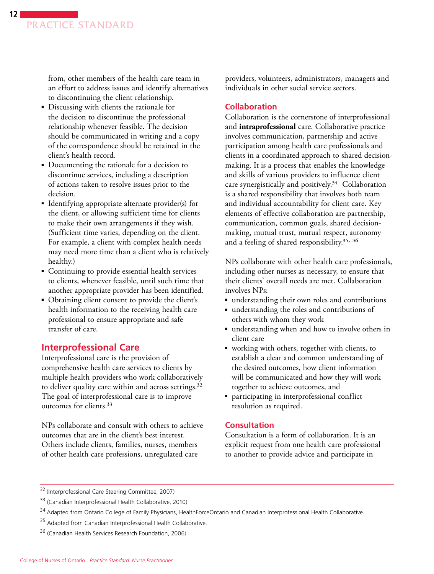from, other members of the health care team in an effort to address issues and identify alternatives to discontinuing the client relationship.

- Discussing with clients the rationale for the decision to discontinue the professional relationship whenever feasible. The decision should be communicated in writing and a copy of the correspondence should be retained in the client's health record.
- Documenting the rationale for a decision to discontinue services, including a description of actions taken to resolve issues prior to the decision.
- Identifying appropriate alternate provider(s) for the client, or allowing sufficient time for clients to make their own arrangements if they wish. (Sufficient time varies, depending on the client. For example, a client with complex health needs may need more time than a client who is relatively healthy.)
- Continuing to provide essential health services to clients, whenever feasible, until such time that another appropriate provider has been identified.
- Obtaining client consent to provide the client's health information to the receiving health care professional to ensure appropriate and safe transfer of care.

# **Interprofessional Care**

Interprofessional care is the provision of comprehensive health care services to clients by multiple health providers who work collaboratively to deliver quality care within and across settings.<sup>32</sup> The goal of interprofessional care is to improve outcomes for clients.33

NPs collaborate and consult with others to achieve outcomes that are in the client's best interest. Others include clients, families, nurses, members of other health care professions, unregulated care

providers, volunteers, administrators, managers and individuals in other social service sectors.

#### **Collaboration**

Collaboration is the cornerstone of interprofessional and **intraprofessional** care. Collaborative practice involves communication, partnership and active participation among health care professionals and clients in a coordinated approach to shared decisionmaking. It is a process that enables the knowledge and skills of various providers to influence client care synergistically and positively.34 Collaboration is a shared responsibility that involves both team and individual accountability for client care. Key elements of effective collaboration are partnership, communication, common goals, shared decisionmaking, mutual trust, mutual respect, autonomy and a feeling of shared responsibility.35, 36

NPs collaborate with other health care professionals, including other nurses as necessary, to ensure that their clients' overall needs are met. Collaboration involves NPs:

- understanding their own roles and contributions
- understanding the roles and contributions of others with whom they work
- understanding when and how to involve others in client care
- working with others, together with clients, to establish a clear and common understanding of the desired outcomes, how client information will be communicated and how they will work together to achieve outcomes, and
- participating in interprofessional conflict resolution as required.

## **Consultation**

Consultation is a form of collaboration. It is an explicit request from one health care professional to another to provide advice and participate in

<sup>32 (</sup>Interprofessional Care Steering Committee, 2007)

<sup>33 (</sup>Canadian Interprofessional Health Collaborative, 2010)

<sup>&</sup>lt;sup>34</sup> Adapted from Ontario College of Family Physicians, HealthForceOntario and Canadian Interprofessional Health Collaborative.

<sup>&</sup>lt;sup>35</sup> Adapted from Canadian Interprofessional Health Collaborative.

<sup>36 (</sup>Canadian Health Services Research Foundation, 2006)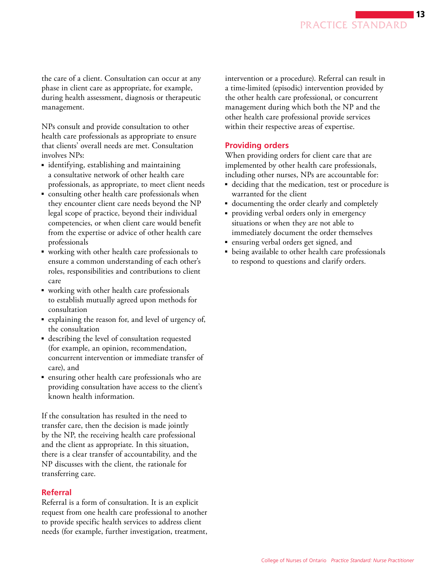the care of a client. Consultation can occur at any phase in client care as appropriate, for example, during health assessment, diagnosis or therapeutic management.

NPs consult and provide consultation to other health care professionals as appropriate to ensure that clients' overall needs are met. Consultation involves NPs:

- identifying, establishing and maintaining a consultative network of other health care professionals, as appropriate, to meet client needs
- consulting other health care professionals when they encounter client care needs beyond the NP legal scope of practice, beyond their individual competencies, or when client care would benefit from the expertise or advice of other health care professionals
- working with other health care professionals to ensure a common understanding of each other's roles, responsibilities and contributions to client care
- working with other health care professionals to establish mutually agreed upon methods for consultation
- explaining the reason for, and level of urgency of, the consultation
- describing the level of consultation requested (for example, an opinion, recommendation, concurrent intervention or immediate transfer of care), and
- ensuring other health care professionals who are providing consultation have access to the client's known health information.

If the consultation has resulted in the need to transfer care, then the decision is made jointly by the NP, the receiving health care professional and the client as appropriate. In this situation, there is a clear transfer of accountability, and the NP discusses with the client, the rationale for transferring care.

#### **Referral**

Referral is a form of consultation. It is an explicit request from one health care professional to another to provide specific health services to address client needs (for example, further investigation, treatment, intervention or a procedure). Referral can result in a time-limited (episodic) intervention provided by the other health care professional, or concurrent management during which both the NP and the other health care professional provide services within their respective areas of expertise.

#### **Providing orders**

When providing orders for client care that are implemented by other health care professionals, including other nurses, NPs are accountable for:

- deciding that the medication, test or procedure is warranted for the client
- documenting the order clearly and completely
- providing verbal orders only in emergency situations or when they are not able to immediately document the order themselves
- ensuring verbal orders get signed, and
- being available to other health care professionals to respond to questions and clarify orders.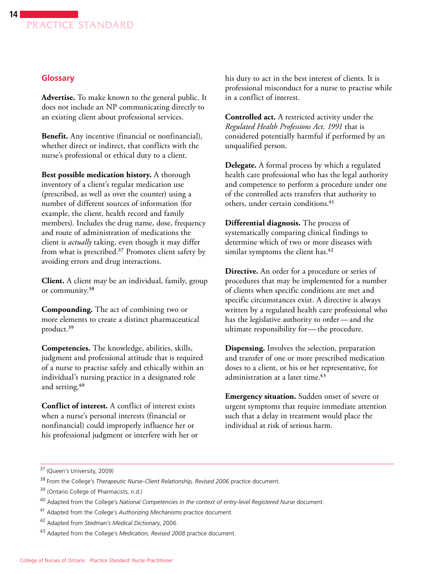#### **Glossary**

**Advertise.** To make known to the general public. It does not include an NP communicating directly to an existing client about professional services.

**Benefit.** Any incentive (financial or nonfinancial), whether direct or indirect, that conflicts with the nurse's professional or ethical duty to a client.

**Best possible medication history.** A thorough inventory of a client's regular medication use (prescribed, as well as over the counter) using a number of different sources of information (for example, the client, health record and family members). Includes the drug name, dose, frequency and route of administration of medications the client is *actually* taking, even though it may differ from what is prescribed.<sup>37</sup> Promotes client safety by avoiding errors and drug interactions.

**Client.** A client may be an individual, family, group or community.<sup>38</sup>

**Compounding.** The act of combining two or more elements to create a distinct pharmaceutical product.39

**Competencies.** The knowledge, abilities, skills, judgment and professional attitude that is required of a nurse to practise safely and ethically within an individual's nursing practice in a designated role and setting.<sup>40</sup>

**Conflict of interest.** A conflict of interest exists when a nurse's personal interests (financial or nonfinancial) could improperly influence her or his professional judgment or interfere with her or his duty to act in the best interest of clients. It is professional misconduct for a nurse to practise while in a conflict of interest.

**Controlled act.** A restricted activity under the *Regulated Health Professions Act, 1991* that is considered potentially harmful if performed by an unqualified person.

**Delegate.** A formal process by which a regulated health care professional who has the legal authority and competence to perform a procedure under one of the controlled acts transfers that authority to others, under certain conditions.<sup>41</sup>

**Differential diagnosis.** The process of systematically comparing clinical findings to determine which of two or more diseases with similar symptoms the client has.<sup>42</sup>

**Directive.** An order for a procedure or series of procedures that may be implemented for a number of clients when specific conditions are met and specific circumstances exist. A directive is always written by a regulated health care professional who has the legislative authority to order—and the ultimate responsibility for—the procedure.

**Dispensing.** Involves the selection, preparation and transfer of one or more prescribed medication doses to a client, or his or her representative, for administration at a later time.<sup>43</sup>

**Emergency situation.** Sudden onset of severe or urgent symptoms that require immediate attention such that a delay in treatment would place the individual at risk of serious harm.

<sup>37 (</sup>Queen's University, 2009)

<sup>38</sup> From the College's *Therapeutic Nurse-Client Relationship, Revised 2006* practice document.

<sup>39 (</sup>Ontario College of Pharmacists, n.d.)

<sup>&</sup>lt;sup>40</sup> Adapted from the College's National Competencies in the context of entry-level Registered Nurse document.

<sup>41</sup> Adapted from the College's *Authorizing Mechanisms* practice document.

<sup>42</sup> Adapted from *Stedman's Medical Dictionary*, 2006.

<sup>43</sup> Adapted from the College's *Medication, Revised 2008* practice document.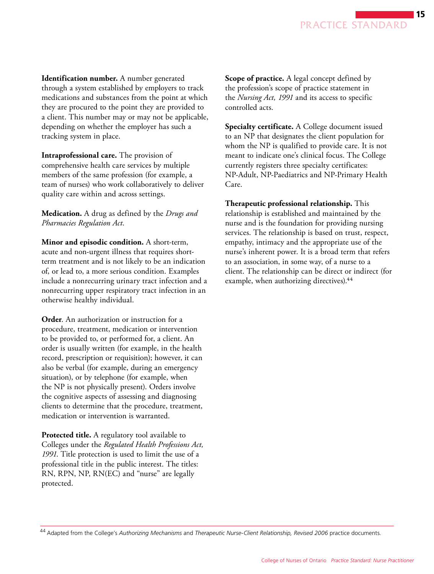**Identification number.** A number generated through a system established by employers to track medications and substances from the point at which they are procured to the point they are provided to a client. This number may or may not be applicable, depending on whether the employer has such a tracking system in place.

**Intraprofessional care.** The provision of comprehensive health care services by multiple members of the same profession (for example, a team of nurses) who work collaboratively to deliver quality care within and across settings.

**Medication.** A drug as defined by the *Drugs and Pharmacies Regulation Act*.

**Minor and episodic condition.** A short-term, acute and non-urgent illness that requires shortterm treatment and is not likely to be an indication of, or lead to, a more serious condition. Examples include a nonrecurring urinary tract infection and a nonrecurring upper respiratory tract infection in an otherwise healthy individual.

**Order**. An authorization or instruction for a procedure, treatment, medication or intervention to be provided to, or performed for, a client. An order is usually written (for example, in the health record, prescription or requisition); however, it can also be verbal (for example, during an emergency situation), or by telephone (for example, when the NP is not physically present). Orders involve the cognitive aspects of assessing and diagnosing clients to determine that the procedure, treatment, medication or intervention is warranted.

**Protected title.** A regulatory tool available to Colleges under the *Regulated Health Professions Act, 1991*. Title protection is used to limit the use of a professional title in the public interest. The titles: RN, RPN, NP, RN(EC) and "nurse" are legally protected.

**Scope of practice.** A legal concept defined by the profession's scope of practice statement in the *Nursing Act, 1991* and its access to specific controlled acts.

**Specialty certificate.** A College document issued to an NP that designates the client population for whom the NP is qualified to provide care. It is not meant to indicate one's clinical focus. The College currently registers three specialty certificates: NP-Adult, NP-Paediatrics and NP-Primary Health Care.

**Therapeutic professional relationship.** This relationship is established and maintained by the nurse and is the foundation for providing nursing services. The relationship is based on trust, respect, empathy, intimacy and the appropriate use of the nurse's inherent power. It is a broad term that refers to an association, in some way, of a nurse to a client. The relationship can be direct or indirect (for example, when authorizing directives).<sup>44</sup>

<sup>44</sup> Adapted from the College's *Authorizing Mechanisms* and *Therapeutic Nurse-Client Relationship, Revised 2006* practice documents.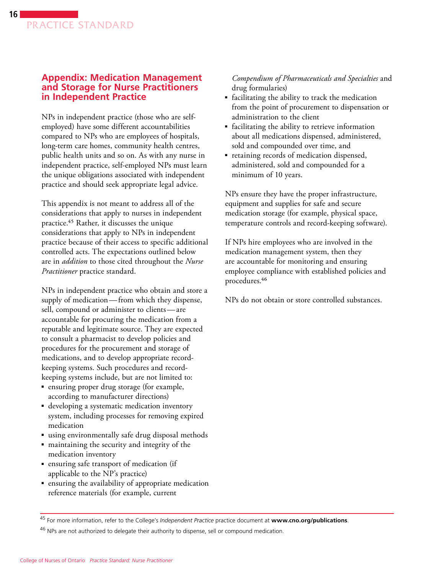## **Appendix: Medication Management and Storage for Nurse Practitioners in Independent Practice**

NPs in independent practice (those who are selfemployed) have some different accountabilities compared to NPs who are employees of hospitals, long-term care homes, community health centres, public health units and so on. As with any nurse in independent practice, self-employed NPs must learn the unique obligations associated with independent practice and should seek appropriate legal advice.

This appendix is not meant to address all of the considerations that apply to nurses in independent practice.45 Rather, it discusses the unique considerations that apply to NPs in independent practice because of their access to specific additional controlled acts. The expectations outlined below are in *addition* to those cited throughout the *Nurse Practitioner* practice standard.

NPs in independent practice who obtain and store a supply of medication—from which they dispense, sell, compound or administer to clients—are accountable for procuring the medication from a reputable and legitimate source. They are expected to consult a pharmacist to develop policies and procedures for the procurement and storage of medications, and to develop appropriate recordkeeping systems. Such procedures and recordkeeping systems include, but are not limited to:

- ensuring proper drug storage (for example, according to manufacturer directions)
- developing a systematic medication inventory system, including processes for removing expired medication
- using environmentally safe drug disposal methods
- maintaining the security and integrity of the medication inventory
- ensuring safe transport of medication (if applicable to the NP's practice)
- ensuring the availability of appropriate medication reference materials (for example, current

#### *Compendium of Pharmaceuticals and Specialties* and drug formularies)

- facilitating the ability to track the medication from the point of procurement to dispensation or administration to the client
- facilitating the ability to retrieve information about all medications dispensed, administered, sold and compounded over time, and
- retaining records of medication dispensed, administered, sold and compounded for a minimum of 10 years.

NPs ensure they have the proper infrastructure, equipment and supplies for safe and secure medication storage (for example, physical space, temperature controls and record-keeping software).

If NPs hire employees who are involved in the medication management system, then they are accountable for monitoring and ensuring employee compliance with established policies and procedures.46

NPs do not obtain or store controlled substances.

45 For more information, refer to the College's *Independent Practice* practice document at **www.cno.org/publications**.

<sup>46</sup> NPs are not authorized to delegate their authority to dispense, sell or compound medication.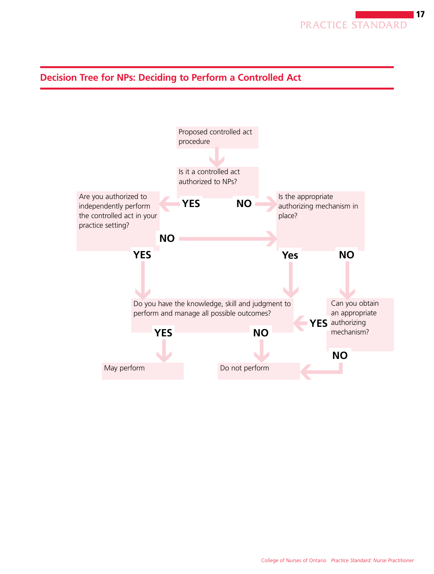

# **Decision Tree for NPs: Deciding to Perform a Controlled Act**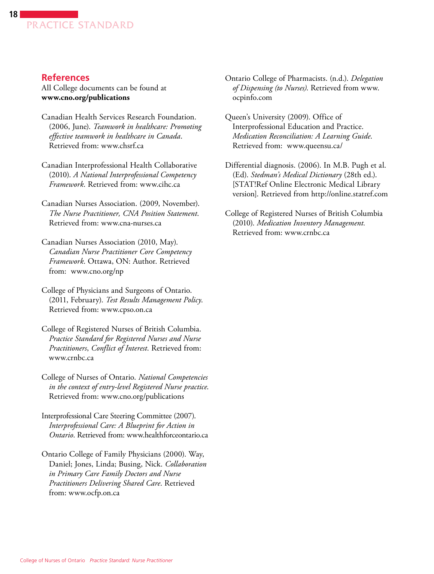

## **References**

All College documents can be found at **www.cno.org/publications**

- Canadian Health Services Research Foundation. (2006, June). *Teamwork in healthcare: Promoting effective teamwork in healthcare in Canada*. Retrieved from: www.chsrf.ca
- Canadian Interprofessional Health Collaborative (2010). *A National Interprofessional Competency Framework*. Retrieved from: www.cihc.ca
- Canadian Nurses Association. (2009, November). *The Nurse Practitioner, CNA Position Statement*. Retrieved from: www.cna-nurses.ca
- Canadian Nurses Association (2010, May). *Canadian Nurse Practitioner Core Competency Framework*. Ottawa, ON: Author. Retrieved from: www.cno.org/np
- College of Physicians and Surgeons of Ontario. (2011, February). *Test Results Management Policy*. Retrieved from: www.cpso.on.ca
- College of Registered Nurses of British Columbia. *Practice Standard for Registered Nurses and Nurse Practitioners*, *Conflict of Interest*. Retrieved from: www.crnbc.ca
- College of Nurses of Ontario. *National Competencies in the context of entry-level Registered Nurse practice*. Retrieved from: www.cno.org/publications
- Interprofessional Care Steering Committee (2007). *Interprofessional Care: A Blueprint for Action in Ontario*. Retrieved from: www.healthforceontario.ca
- Ontario College of Family Physicians (2000). Way, Daniel; Jones, Linda; Busing, Nick. *Collaboration in Primary Care Family Doctors and Nurse Practitioners Delivering Shared Care*. Retrieved from: www.ocfp.on.ca
- Ontario College of Pharmacists. (n.d.). *Delegation of Dispensing (to Nurses)*. Retrieved from www. ocpinfo.com
- Queen's University (2009). Office of Interprofessional Education and Practice. *Medication Reconciliation: A Learning Guide*. Retrieved from: www.queensu.ca/
- Differential diagnosis. (2006). In M.B. Pugh et al. (Ed). *Stedman's Medical Dictionary* (28th ed.). [STAT!Ref Online Electronic Medical Library version]. Retrieved from http://online.statref.com
- College of Registered Nurses of British Columbia (2010). *Medication Inventory Management.* Retrieved from: www.crnbc.ca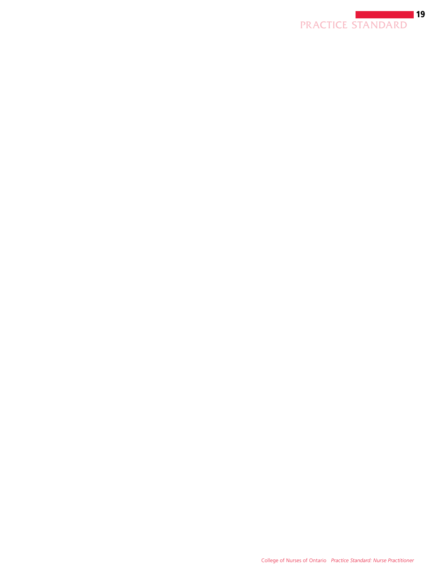